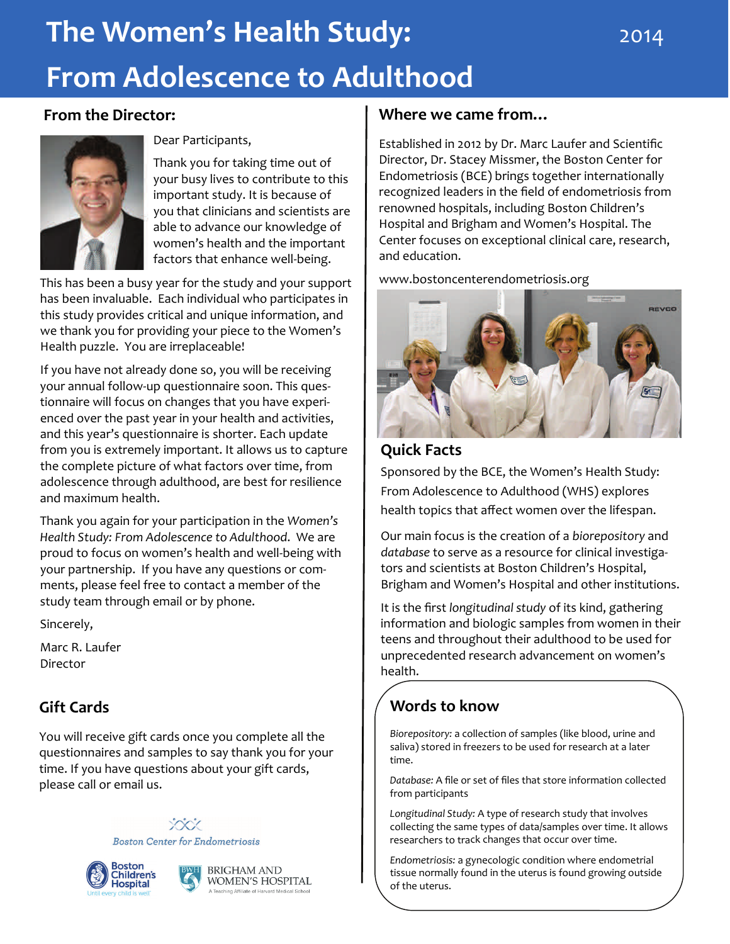# **The Women's Health Study: From Adolescence to Adulthood**

#### **From the Director:**



Dear Participants,

Thank you for taking time out of your busy lives to contribute to this important study. It is because of you that clinicians and scientists are able to advance our knowledge of women's health and the important factors that enhance well-being.

This has been a busy year for the study and your support has been invaluable. Each individual who participates in this study provides critical and unique information, and we thank you for providing your piece to the Women's Health puzzle. You are irreplaceable!

If you have not already done so, you will be receiving your annual follow‐up questionnaire soon. This ques‐ tionnaire will focus on changes that you have experi‐ enced over the past year in your health and activities, and this year's questionnaire is shorter. Each update from you is extremely important. It allows us to capture the complete picture of what factors over time, from adolescence through adulthood, are best for resilience and maximum health.

Thank you again for your participation in the *Women's Health Study: From Adolescence to Adulthood*. We are proud to focus on women's health and well‐being with your partnership. If you have any questions or com‐ ments, please feel free to contact a member of the study team through email or by phone.

Sincerely,

Marc R. Laufer Director

# **Gift Cards**

You will receive gift cards once you complete all the questionnaires and samples to say thank you for your time. If you have questions about your gift cards, please call or email us.

> XXXX **Boston Center for Endometriosis**





### **Where we came from…**

Established in 2012 by Dr. Marc Laufer and Scientific Director, Dr. Stacey Missmer, the Boston Center for Endometriosis (BCE) brings together internationally recognized leaders in the field of endometriosis from renowned hospitals, including Boston Children's Hospital and Brigham and Women's Hospital. The Center focuses on exceptional clinical care, research, and education.

www.bostoncenterendometriosis.org



#### **Quick Facts**

Sponsored by the BCE, the Women's Health Study: From Adolescence to Adulthood (WHS) explores health topics that affect women over the lifespan.

Our main focus is the creation of a *biorepository* and *database* to serve as a resource for clinical investiga‐ tors and scientists at Boston Children's Hospital, Brigham and Women's Hospital and other institutions.

It is the first *longitudinal study* of its kind, gathering information and biologic samples from women in their teens and throughout their adulthood to be used for unprecedented research advancement on women's health.

# **Words to know**

*Biorepository:* a collection of samples (like blood, urine and saliva) stored in freezers to be used for research at a later time.

*Database:* A file or set of files that store information collected from participants

*Longitudinal Study:* A type of research study that involves collecting the same types of data/samples over time. It allows researchers to track changes that occur over time.

*Endometriosis:* a gynecologic condition where endometrial tissue normally found in the uterus is found growing outside of the uterus.